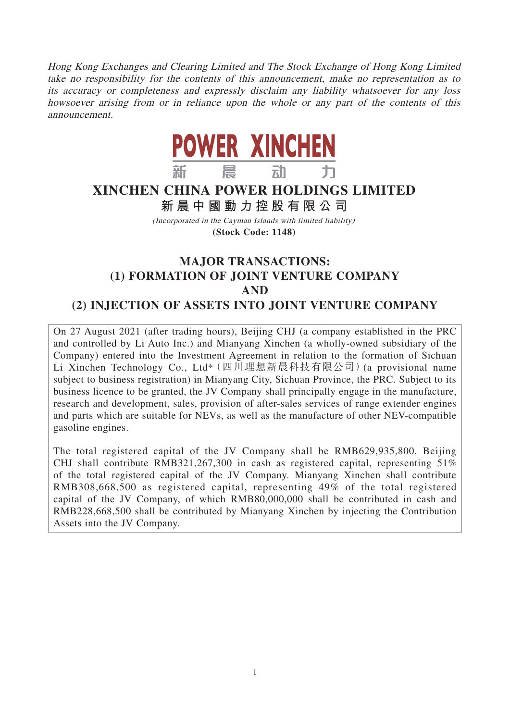Hong Kong Exchanges and Clearing Limited and The Stock Exchange of Hong Kong Limited take no responsibility for the contents of this announcement, make no representation as to its accuracy or completeness and expressly disclaim any liability whatsoever for any loss howsoever arising from or in reliance upon the whole or any part of the contents of this announcement.



# **XINCHEN CHINA POWER HOLDINGS LIMITED**

**新晨中國動力控股有限公 司**

(Incorporated in the Cayman Islands with limited liability) **(Stock Code: 1148)**

# **MAJOR TRANSACTIONS: (1) FORMATION OF JOINT VENTURE COMPANY AND (2) INJECTION OF ASSETS INTO JOINT VENTURE COMPANY**

On 27 August 2021 (after trading hours), Beijing CHJ (a company established in the PRC and controlled by Li Auto Inc.) and Mianyang Xinchen (a wholly-owned subsidiary of the Company) entered into the Investment Agreement in relation to the formation of Sichuan Li Xinchen Technology Co., Ltd\*(四川理想新晨科技有限公司)(a provisional name subject to business registration) in Mianyang City, Sichuan Province, the PRC. Subject to its business licence to be granted, the JV Company shall principally engage in the manufacture, research and development, sales, provision of after-sales services of range extender engines and parts which are suitable for NEVs, as well as the manufacture of other NEV-compatible gasoline engines.

The total registered capital of the JV Company shall be RMB629,935,800. Beijing CHJ shall contribute RMB321,267,300 in cash as registered capital, representing 51% of the total registered capital of the JV Company. Mianyang Xinchen shall contribute RMB308,668,500 as registered capital, representing 49% of the total registered capital of the JV Company, of which RMB80,000,000 shall be contributed in cash and RMB228,668,500 shall be contributed by Mianyang Xinchen by injecting the Contribution Assets into the JV Company.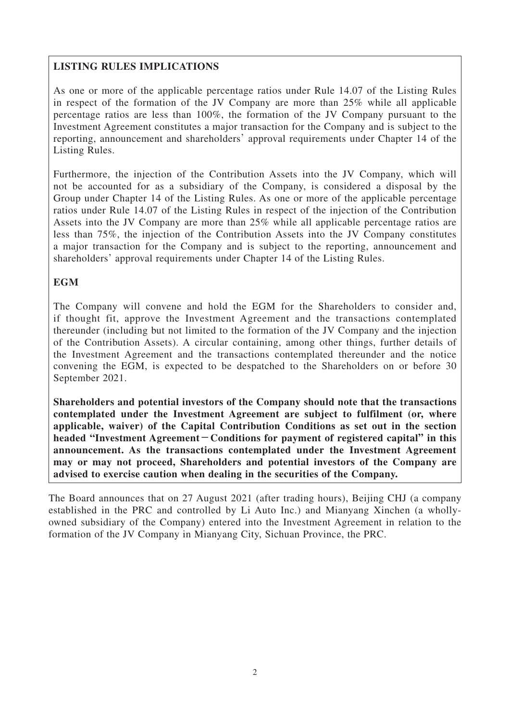# **LISTING RULES IMPLICATIONS**

As one or more of the applicable percentage ratios under Rule 14.07 of the Listing Rules in respect of the formation of the JV Company are more than 25% while all applicable percentage ratios are less than 100%, the formation of the JV Company pursuant to the Investment Agreement constitutes a major transaction for the Company and is subject to the reporting, announcement and shareholders' approval requirements under Chapter 14 of the Listing Rules.

Furthermore, the injection of the Contribution Assets into the JV Company, which will not be accounted for as a subsidiary of the Company, is considered a disposal by the Group under Chapter 14 of the Listing Rules. As one or more of the applicable percentage ratios under Rule 14.07 of the Listing Rules in respect of the injection of the Contribution Assets into the JV Company are more than 25% while all applicable percentage ratios are less than 75%, the injection of the Contribution Assets into the JV Company constitutes a major transaction for the Company and is subject to the reporting, announcement and shareholders' approval requirements under Chapter 14 of the Listing Rules.

# **EGM**

The Company will convene and hold the EGM for the Shareholders to consider and, if thought fit, approve the Investment Agreement and the transactions contemplated thereunder (including but not limited to the formation of the JV Company and the injection of the Contribution Assets). A circular containing, among other things, further details of the Investment Agreement and the transactions contemplated thereunder and the notice convening the EGM, is expected to be despatched to the Shareholders on or before 30 September 2021.

**Shareholders and potential investors of the Company should note that the transactions contemplated under the Investment Agreement are subject to fulfilment (or, where applicable, waiver) of the Capital Contribution Conditions as set out in the section headed "Investment Agreement-Conditions for payment of registered capital" in this announcement. As the transactions contemplated under the Investment Agreement may or may not proceed, Shareholders and potential investors of the Company are advised to exercise caution when dealing in the securities of the Company.**

The Board announces that on 27 August 2021 (after trading hours), Beijing CHJ (a company established in the PRC and controlled by Li Auto Inc.) and Mianyang Xinchen (a whollyowned subsidiary of the Company) entered into the Investment Agreement in relation to the formation of the JV Company in Mianyang City, Sichuan Province, the PRC.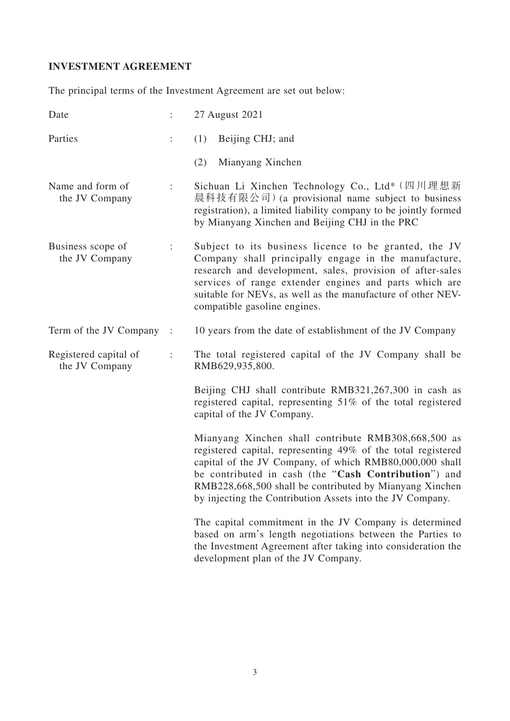# **INVESTMENT AGREEMENT**

The principal terms of the Investment Agreement are set out below:

| Date                                    | ÷                    | 27 August 2021                                                                                                                                                                                                                                                                                                                                                 |
|-----------------------------------------|----------------------|----------------------------------------------------------------------------------------------------------------------------------------------------------------------------------------------------------------------------------------------------------------------------------------------------------------------------------------------------------------|
| Parties                                 |                      | Beijing CHJ; and<br>(1)                                                                                                                                                                                                                                                                                                                                        |
|                                         |                      | (2)<br>Mianyang Xinchen                                                                                                                                                                                                                                                                                                                                        |
| Name and form of<br>the JV Company      | $\ddot{\phantom{a}}$ | Sichuan Li Xinchen Technology Co., Ltd* (四川理想新<br>晨科技有限公司) (a provisional name subject to business<br>registration), a limited liability company to be jointly formed<br>by Mianyang Xinchen and Beijing CHJ in the PRC                                                                                                                                        |
| Business scope of<br>the JV Company     | $\ddot{\cdot}$       | Subject to its business licence to be granted, the JV<br>Company shall principally engage in the manufacture,<br>research and development, sales, provision of after-sales<br>services of range extender engines and parts which are<br>suitable for NEVs, as well as the manufacture of other NEV-<br>compatible gasoline engines.                            |
| Term of the JV Company :                |                      | 10 years from the date of establishment of the JV Company                                                                                                                                                                                                                                                                                                      |
| Registered capital of<br>the JV Company | ÷                    | The total registered capital of the JV Company shall be<br>RMB629,935,800.                                                                                                                                                                                                                                                                                     |
|                                         |                      | Beijing CHJ shall contribute RMB321,267,300 in cash as<br>registered capital, representing 51% of the total registered<br>capital of the JV Company.                                                                                                                                                                                                           |
|                                         |                      | Mianyang Xinchen shall contribute RMB308,668,500 as<br>registered capital, representing 49% of the total registered<br>capital of the JV Company, of which RMB80,000,000 shall<br>be contributed in cash (the "Cash Contribution") and<br>RMB228,668,500 shall be contributed by Mianyang Xinchen<br>by injecting the Contribution Assets into the JV Company. |
|                                         |                      | The capital commitment in the JV Company is determined<br>based on arm's length negotiations between the Parties to<br>the Investment Agreement after taking into consideration the<br>development plan of the JV Company.                                                                                                                                     |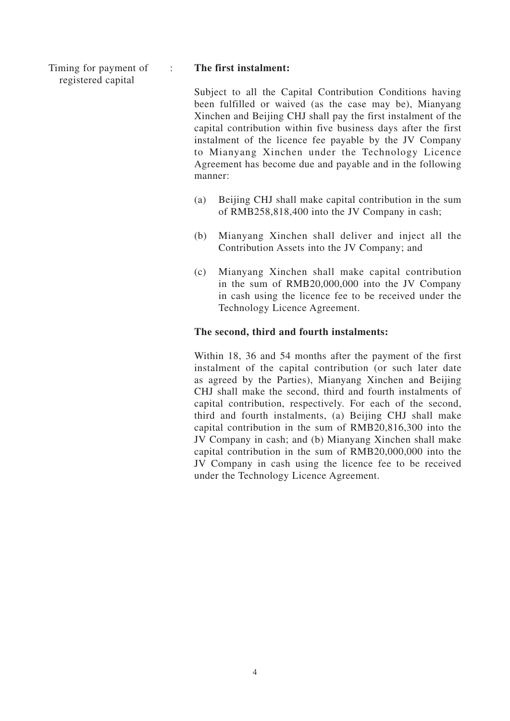Timing for payment of registered capital

#### : **The first instalment:**

Subject to all the Capital Contribution Conditions having been fulfilled or waived (as the case may be), Mianyang Xinchen and Beijing CHJ shall pay the first instalment of the capital contribution within five business days after the first instalment of the licence fee payable by the JV Company to Mianyang Xinchen under the Technology Licence Agreement has become due and payable and in the following manner:

- (a) Beijing CHJ shall make capital contribution in the sum of RMB258,818,400 into the JV Company in cash;
- (b) Mianyang Xinchen shall deliver and inject all the Contribution Assets into the JV Company; and
- (c) Mianyang Xinchen shall make capital contribution in the sum of RMB20,000,000 into the JV Company in cash using the licence fee to be received under the Technology Licence Agreement.

#### **The second, third and fourth instalments:**

Within 18, 36 and 54 months after the payment of the first instalment of the capital contribution (or such later date as agreed by the Parties), Mianyang Xinchen and Beijing CHJ shall make the second, third and fourth instalments of capital contribution, respectively. For each of the second, third and fourth instalments, (a) Beijing CHJ shall make capital contribution in the sum of RMB20,816,300 into the JV Company in cash; and (b) Mianyang Xinchen shall make capital contribution in the sum of RMB20,000,000 into the JV Company in cash using the licence fee to be received under the Technology Licence Agreement.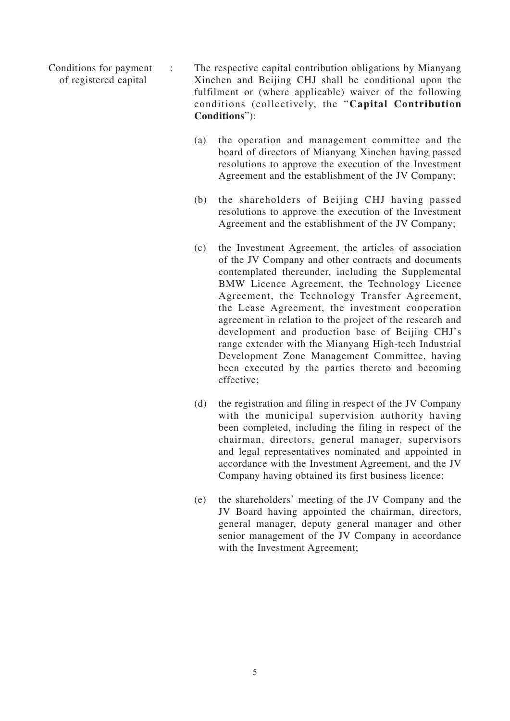Conditions for payment of registered capital : The respective capital contribution obligations by Mianyang Xinchen and Beijing CHJ shall be conditional upon the fulfilment or (where applicable) waiver of the following conditions (collectively, the "**Capital Contribution** 

**Conditions**"):

- (a) the operation and management committee and the board of directors of Mianyang Xinchen having passed resolutions to approve the execution of the Investment Agreement and the establishment of the JV Company;
- (b) the shareholders of Beijing CHJ having passed resolutions to approve the execution of the Investment Agreement and the establishment of the JV Company;
- (c) the Investment Agreement, the articles of association of the JV Company and other contracts and documents contemplated thereunder, including the Supplemental BMW Licence Agreement, the Technology Licence Agreement, the Technology Transfer Agreement, the Lease Agreement, the investment cooperation agreement in relation to the project of the research and development and production base of Beijing CHJ's range extender with the Mianyang High-tech Industrial Development Zone Management Committee, having been executed by the parties thereto and becoming effective;
- (d) the registration and filing in respect of the JV Company with the municipal supervision authority having been completed, including the filing in respect of the chairman, directors, general manager, supervisors and legal representatives nominated and appointed in accordance with the Investment Agreement, and the JV Company having obtained its first business licence;
- (e) the shareholders' meeting of the JV Company and the JV Board having appointed the chairman, directors, general manager, deputy general manager and other senior management of the JV Company in accordance with the Investment Agreement;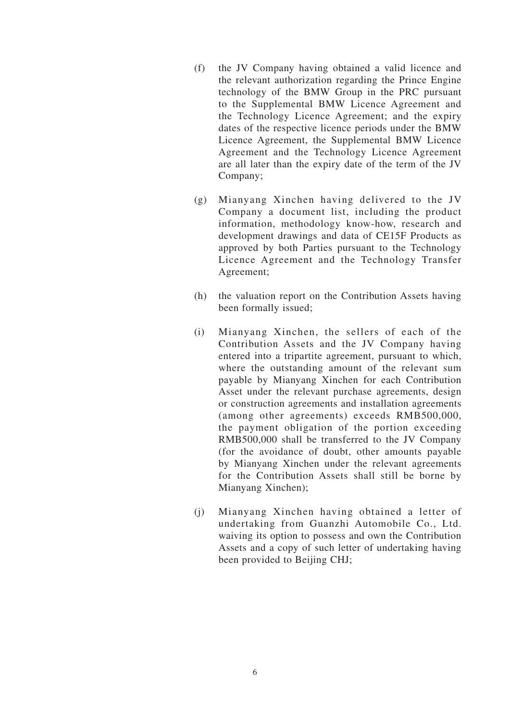- (f) the JV Company having obtained a valid licence and the relevant authorization regarding the Prince Engine technology of the BMW Group in the PRC pursuant to the Supplemental BMW Licence Agreement and the Technology Licence Agreement; and the expiry dates of the respective licence periods under the BMW Licence Agreement, the Supplemental BMW Licence Agreement and the Technology Licence Agreement are all later than the expiry date of the term of the JV Company;
- (g) Mianyang Xinchen having delivered to the JV Company a document list, including the product information, methodology know-how, research and development drawings and data of CE15F Products as approved by both Parties pursuant to the Technology Licence Agreement and the Technology Transfer Agreement;
- (h) the valuation report on the Contribution Assets having been formally issued;
- (i) Mianyang Xinchen, the sellers of each of the Contribution Assets and the JV Company having entered into a tripartite agreement, pursuant to which, where the outstanding amount of the relevant sum payable by Mianyang Xinchen for each Contribution Asset under the relevant purchase agreements, design or construction agreements and installation agreements (among other agreements) exceeds RMB500,000, the payment obligation of the portion exceeding RMB500,000 shall be transferred to the JV Company (for the avoidance of doubt, other amounts payable by Mianyang Xinchen under the relevant agreements for the Contribution Assets shall still be borne by Mianyang Xinchen);
- (j) Mianyang Xinchen having obtained a letter of undertaking from Guanzhi Automobile Co., Ltd. waiving its option to possess and own the Contribution Assets and a copy of such letter of undertaking having been provided to Beijing CHJ;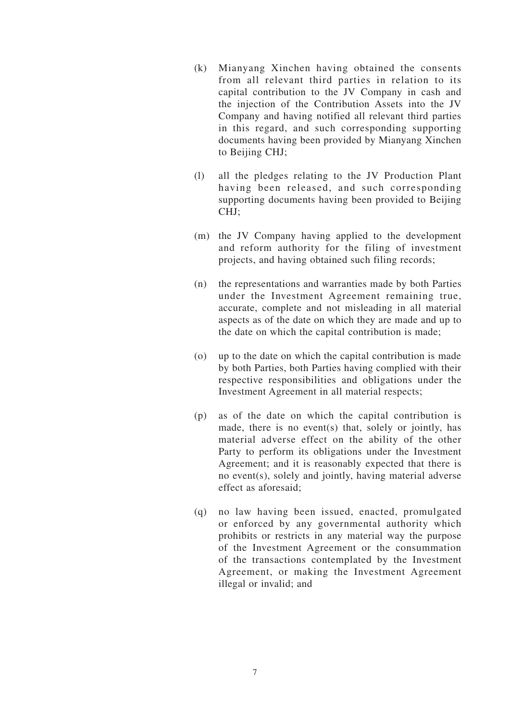- (k) Mianyang Xinchen having obtained the consents from all relevant third parties in relation to its capital contribution to the JV Company in cash and the injection of the Contribution Assets into the JV Company and having notified all relevant third parties in this regard, and such corresponding supporting documents having been provided by Mianyang Xinchen to Beijing CHJ;
- (l) all the pledges relating to the JV Production Plant having been released, and such corresponding supporting documents having been provided to Beijing CHJ;
- (m) the JV Company having applied to the development and reform authority for the filing of investment projects, and having obtained such filing records;
- (n) the representations and warranties made by both Parties under the Investment Agreement remaining true, accurate, complete and not misleading in all material aspects as of the date on which they are made and up to the date on which the capital contribution is made;
- (o) up to the date on which the capital contribution is made by both Parties, both Parties having complied with their respective responsibilities and obligations under the Investment Agreement in all material respects;
- (p) as of the date on which the capital contribution is made, there is no event(s) that, solely or jointly, has material adverse effect on the ability of the other Party to perform its obligations under the Investment Agreement; and it is reasonably expected that there is no event(s), solely and jointly, having material adverse effect as aforesaid;
- (q) no law having been issued, enacted, promulgated or enforced by any governmental authority which prohibits or restricts in any material way the purpose of the Investment Agreement or the consummation of the transactions contemplated by the Investment Agreement, or making the Investment Agreement illegal or invalid; and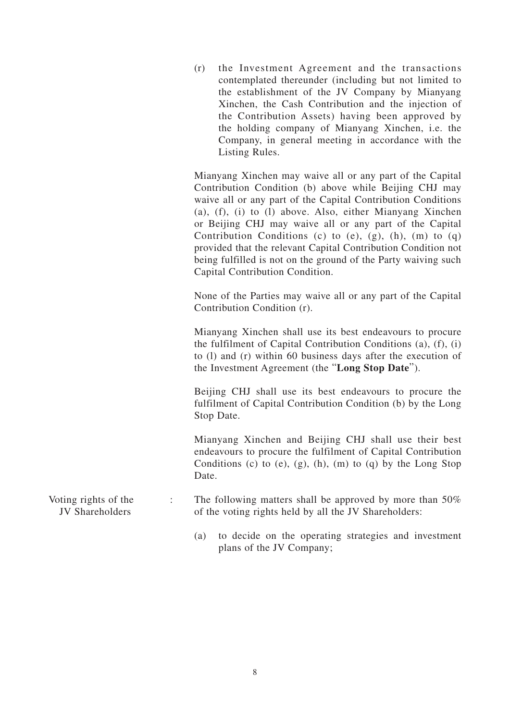(r) the Investment Agreement and the transactions contemplated thereunder (including but not limited to the establishment of the JV Company by Mianyang Xinchen, the Cash Contribution and the injection of the Contribution Assets) having been approved by the holding company of Mianyang Xinchen, i.e. the Company, in general meeting in accordance with the Listing Rules.

Mianyang Xinchen may waive all or any part of the Capital Contribution Condition (b) above while Beijing CHJ may waive all or any part of the Capital Contribution Conditions (a), (f), (i) to (l) above. Also, either Mianyang Xinchen or Beijing CHJ may waive all or any part of the Capital Contribution Conditions (c) to  $(e)$ ,  $(g)$ ,  $(h)$ ,  $(m)$  to  $(q)$ provided that the relevant Capital Contribution Condition not being fulfilled is not on the ground of the Party waiving such Capital Contribution Condition.

None of the Parties may waive all or any part of the Capital Contribution Condition (r).

Mianyang Xinchen shall use its best endeavours to procure the fulfilment of Capital Contribution Conditions (a), (f), (i) to (l) and (r) within 60 business days after the execution of the Investment Agreement (the "**Long Stop Date**").

Beijing CHJ shall use its best endeavours to procure the fulfilment of Capital Contribution Condition (b) by the Long Stop Date.

Mianyang Xinchen and Beijing CHJ shall use their best endeavours to procure the fulfilment of Capital Contribution Conditions (c) to (e),  $(g)$ ,  $(h)$ ,  $(m)$  to  $(g)$  by the Long Stop Date.

Voting rights of the JV Shareholders : The following matters shall be approved by more than 50% of the voting rights held by all the JV Shareholders:

> (a) to decide on the operating strategies and investment plans of the JV Company;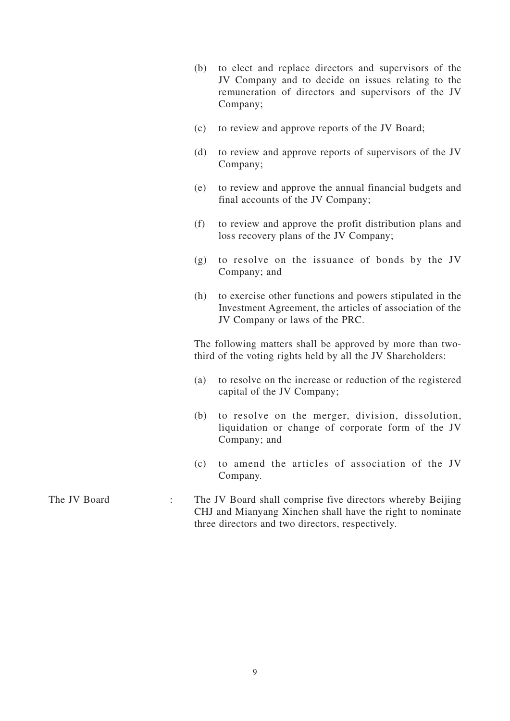| (b) to elect and replace directors and supervisors of the |
|-----------------------------------------------------------|
| JV Company and to decide on issues relating to the        |
| remuneration of directors and supervisors of the JV       |
| Company;                                                  |

- (c) to review and approve reports of the JV Board;
- (d) to review and approve reports of supervisors of the JV Company;
- (e) to review and approve the annual financial budgets and final accounts of the JV Company;
- (f) to review and approve the profit distribution plans and loss recovery plans of the JV Company;
- (g) to resolve on the issuance of bonds by the JV Company; and
- (h) to exercise other functions and powers stipulated in the Investment Agreement, the articles of association of the JV Company or laws of the PRC.

The following matters shall be approved by more than twothird of the voting rights held by all the JV Shareholders:

- (a) to resolve on the increase or reduction of the registered capital of the JV Company;
- (b) to resolve on the merger, division, dissolution, liquidation or change of corporate form of the JV Company; and
- (c) to amend the articles of association of the JV Company.
- The JV Board : The JV Board shall comprise five directors whereby Beijing CHJ and Mianyang Xinchen shall have the right to nominate three directors and two directors, respectively.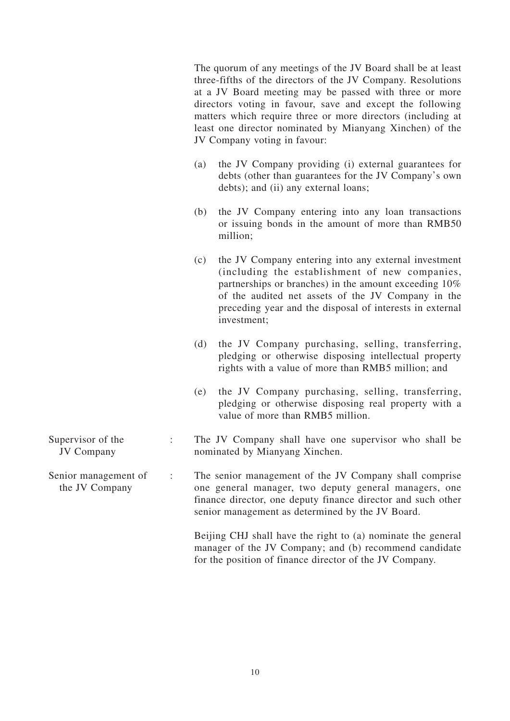|                                        |     | three-fifths of the directors of the JV Company. Resolutions<br>at a JV Board meeting may be passed with three or more<br>directors voting in favour, save and except the following<br>matters which require three or more directors (including at<br>least one director nominated by Mianyang Xinchen) of the<br>JV Company voting in favour: |
|----------------------------------------|-----|------------------------------------------------------------------------------------------------------------------------------------------------------------------------------------------------------------------------------------------------------------------------------------------------------------------------------------------------|
|                                        | (a) | the JV Company providing (i) external guarantees for<br>debts (other than guarantees for the JV Company's own<br>debts); and (ii) any external loans;                                                                                                                                                                                          |
|                                        | (b) | the JV Company entering into any loan transactions<br>or issuing bonds in the amount of more than RMB50<br>million;                                                                                                                                                                                                                            |
|                                        | (c) | the JV Company entering into any external investment<br>(including the establishment of new companies,<br>partnerships or branches) in the amount exceeding 10%<br>of the audited net assets of the JV Company in the<br>preceding year and the disposal of interests in external<br>investment;                                               |
|                                        | (d) | the JV Company purchasing, selling, transferring,<br>pledging or otherwise disposing intellectual property<br>rights with a value of more than RMB5 million; and                                                                                                                                                                               |
|                                        | (e) | the JV Company purchasing, selling, transferring,<br>pledging or otherwise disposing real property with a<br>value of more than RMB5 million.                                                                                                                                                                                                  |
| Supervisor of the<br><b>JV Company</b> |     | The JV Company shall have one supervisor who shall be<br>nominated by Mianyang Xinchen.                                                                                                                                                                                                                                                        |
| Senior management of<br>the JV Company |     | The senior management of the JV Company shall comprise<br>one general manager, two deputy general managers, one<br>finance director, one deputy finance director and such other<br>senior management as determined by the JV Board.                                                                                                            |
|                                        |     | Beijing CHJ shall have the right to (a) nominate the general<br>manager of the JV Company; and (b) recommend candidate<br>for the position of finance director of the JV Company.                                                                                                                                                              |

The quorum of any meetings of the JV Board shall be at least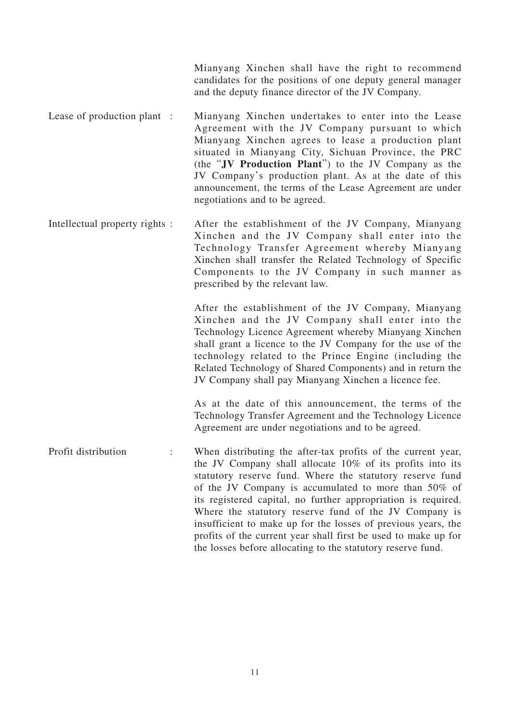Mianyang Xinchen shall have the right to recommend candidates for the positions of one deputy general manager and the deputy finance director of the JV Company.

- Lease of production plant : Mianyang Xinchen undertakes to enter into the Lease Agreement with the JV Company pursuant to which Mianyang Xinchen agrees to lease a production plant situated in Mianyang City, Sichuan Province, the PRC (the "**JV Production Plant**") to the JV Company as the JV Company's production plant. As at the date of this announcement, the terms of the Lease Agreement are under negotiations and to be agreed.
- Intellectual property rights : After the establishment of the JV Company, Mianyang Xinchen and the JV Company shall enter into the Technology Transfer Agreement whereby Mianyang Xinchen shall transfer the Related Technology of Specific Components to the JV Company in such manner as prescribed by the relevant law.

After the establishment of the JV Company, Mianyang Xinchen and the JV Company shall enter into the Technology Licence Agreement whereby Mianyang Xinchen shall grant a licence to the JV Company for the use of the technology related to the Prince Engine (including the Related Technology of Shared Components) and in return the JV Company shall pay Mianyang Xinchen a licence fee.

As at the date of this announcement, the terms of the Technology Transfer Agreement and the Technology Licence Agreement are under negotiations and to be agreed.

Profit distribution : When distributing the after-tax profits of the current year, the JV Company shall allocate 10% of its profits into its statutory reserve fund. Where the statutory reserve fund of the JV Company is accumulated to more than 50% of its registered capital, no further appropriation is required. Where the statutory reserve fund of the JV Company is insufficient to make up for the losses of previous years, the profits of the current year shall first be used to make up for the losses before allocating to the statutory reserve fund.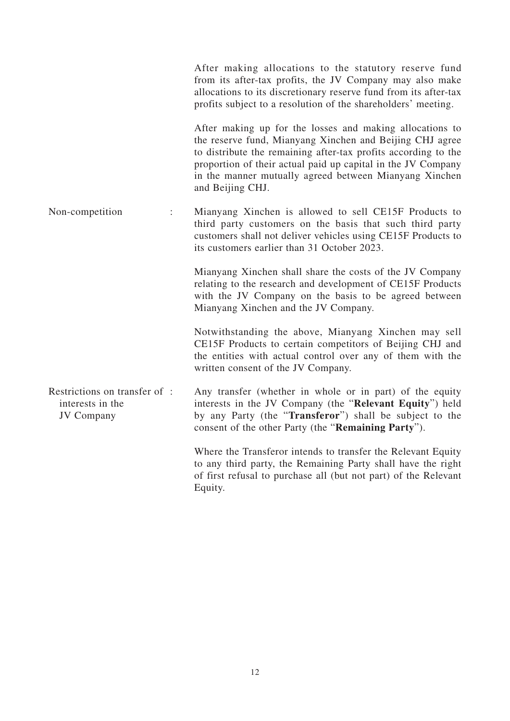|                                                                       | allocations to its discretionary reserve fund from its after-tax<br>profits subject to a resolution of the shareholders' meeting.                                                                                                                                                                                                    |
|-----------------------------------------------------------------------|--------------------------------------------------------------------------------------------------------------------------------------------------------------------------------------------------------------------------------------------------------------------------------------------------------------------------------------|
|                                                                       | After making up for the losses and making allocations to<br>the reserve fund, Mianyang Xinchen and Beijing CHJ agree<br>to distribute the remaining after-tax profits according to the<br>proportion of their actual paid up capital in the JV Company<br>in the manner mutually agreed between Mianyang Xinchen<br>and Beijing CHJ. |
| Non-competition<br>$\ddot{\phantom{a}}$                               | Mianyang Xinchen is allowed to sell CE15F Products to<br>third party customers on the basis that such third party<br>customers shall not deliver vehicles using CE15F Products to<br>its customers earlier than 31 October 2023.                                                                                                     |
|                                                                       | Mianyang Xinchen shall share the costs of the JV Company<br>relating to the research and development of CE15F Products<br>with the JV Company on the basis to be agreed between<br>Mianyang Xinchen and the JV Company.                                                                                                              |
|                                                                       | Notwithstanding the above, Mianyang Xinchen may sell<br>CE15F Products to certain competitors of Beijing CHJ and<br>the entities with actual control over any of them with the<br>written consent of the JV Company.                                                                                                                 |
| Restrictions on transfer of:<br>interests in the<br><b>JV</b> Company | Any transfer (whether in whole or in part) of the equity<br>interests in the JV Company (the "Relevant Equity") held<br>by any Party (the "Transferor") shall be subject to the<br>consent of the other Party (the " <b>Remaining Party</b> ").                                                                                      |
|                                                                       | Where the Transferor intends to transfer the Relevant Equity<br>to any third party, the Remaining Party shall have the right<br>of first refusal to purchase all (but not part) of the Relevant<br>Equity.                                                                                                                           |

After making allocations to the statutory reserve fund from its after-tax profits, the JV Company may also make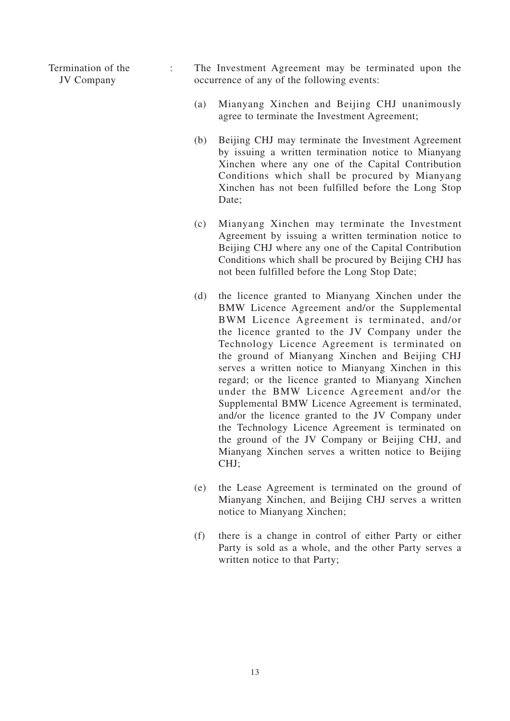Termination of the JV Company

- : The Investment Agreement may be terminated upon the occurrence of any of the following events:
	- (a) Mianyang Xinchen and Beijing CHJ unanimously agree to terminate the Investment Agreement;
	- (b) Beijing CHJ may terminate the Investment Agreement by issuing a written termination notice to Mianyang Xinchen where any one of the Capital Contribution Conditions which shall be procured by Mianyang Xinchen has not been fulfilled before the Long Stop Date;
	- (c) Mianyang Xinchen may terminate the Investment Agreement by issuing a written termination notice to Beijing CHJ where any one of the Capital Contribution Conditions which shall be procured by Beijing CHJ has not been fulfilled before the Long Stop Date;
	- (d) the licence granted to Mianyang Xinchen under the BMW Licence Agreement and/or the Supplemental BWM Licence Agreement is terminated, and/or the licence granted to the JV Company under the Technology Licence Agreement is terminated on the ground of Mianyang Xinchen and Beijing CHJ serves a written notice to Mianyang Xinchen in this regard; or the licence granted to Mianyang Xinchen under the BMW Licence Agreement and/or the Supplemental BMW Licence Agreement is terminated, and/or the licence granted to the JV Company under the Technology Licence Agreement is terminated on the ground of the JV Company or Beijing CHJ, and Mianyang Xinchen serves a written notice to Beijing CHJ;
	- (e) the Lease Agreement is terminated on the ground of Mianyang Xinchen, and Beijing CHJ serves a written notice to Mianyang Xinchen;
	- (f) there is a change in control of either Party or either Party is sold as a whole, and the other Party serves a written notice to that Party;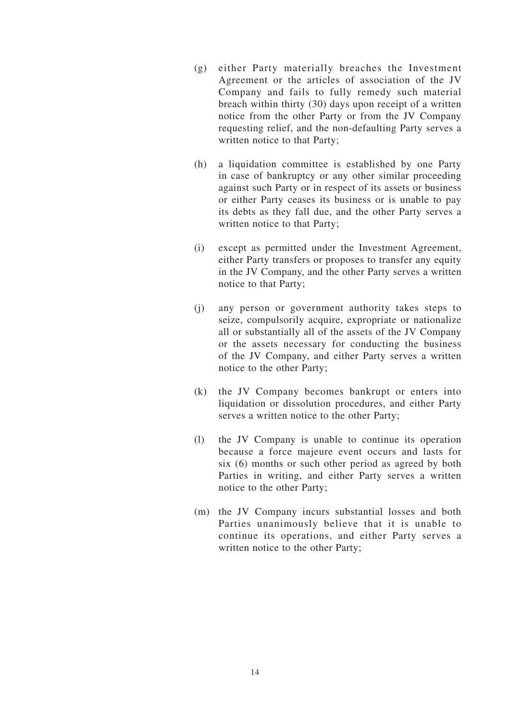- (g) either Party materially breaches the Investment Agreement or the articles of association of the JV Company and fails to fully remedy such material breach within thirty (30) days upon receipt of a written notice from the other Party or from the JV Company requesting relief, and the non-defaulting Party serves a written notice to that Party;
- (h) a liquidation committee is established by one Party in case of bankruptcy or any other similar proceeding against such Party or in respect of its assets or business or either Party ceases its business or is unable to pay its debts as they fall due, and the other Party serves a written notice to that Party;
- (i) except as permitted under the Investment Agreement, either Party transfers or proposes to transfer any equity in the JV Company, and the other Party serves a written notice to that Party;
- (j) any person or government authority takes steps to seize, compulsorily acquire, expropriate or nationalize all or substantially all of the assets of the JV Company or the assets necessary for conducting the business of the JV Company, and either Party serves a written notice to the other Party;
- (k) the JV Company becomes bankrupt or enters into liquidation or dissolution procedures, and either Party serves a written notice to the other Party;
- (l) the JV Company is unable to continue its operation because a force majeure event occurs and lasts for six (6) months or such other period as agreed by both Parties in writing, and either Party serves a written notice to the other Party;
- (m) the JV Company incurs substantial losses and both Parties unanimously believe that it is unable to continue its operations, and either Party serves a written notice to the other Party;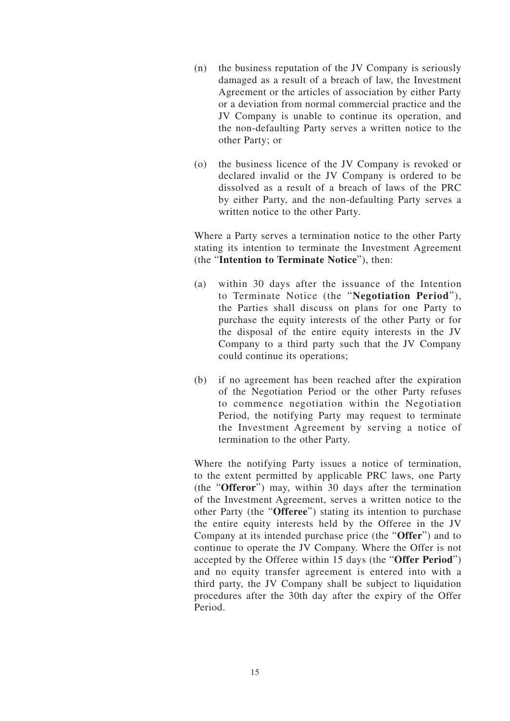- (n) the business reputation of the JV Company is seriously damaged as a result of a breach of law, the Investment Agreement or the articles of association by either Party or a deviation from normal commercial practice and the JV Company is unable to continue its operation, and the non-defaulting Party serves a written notice to the other Party; or
- (o) the business licence of the JV Company is revoked or declared invalid or the JV Company is ordered to be dissolved as a result of a breach of laws of the PRC by either Party, and the non-defaulting Party serves a written notice to the other Party.

Where a Party serves a termination notice to the other Party stating its intention to terminate the Investment Agreement (the "**Intention to Terminate Notice**"), then:

- (a) within 30 days after the issuance of the Intention to Terminate Notice (the "**Negotiation Period**"), the Parties shall discuss on plans for one Party to purchase the equity interests of the other Party or for the disposal of the entire equity interests in the JV Company to a third party such that the JV Company could continue its operations;
- (b) if no agreement has been reached after the expiration of the Negotiation Period or the other Party refuses to commence negotiation within the Negotiation Period, the notifying Party may request to terminate the Investment Agreement by serving a notice of termination to the other Party.

Where the notifying Party issues a notice of termination, to the extent permitted by applicable PRC laws, one Party (the "**Offeror**") may, within 30 days after the termination of the Investment Agreement, serves a written notice to the other Party (the "**Offeree**") stating its intention to purchase the entire equity interests held by the Offeree in the JV Company at its intended purchase price (the "**Offer**") and to continue to operate the JV Company. Where the Offer is not accepted by the Offeree within 15 days (the "**Offer Period**") and no equity transfer agreement is entered into with a third party, the JV Company shall be subject to liquidation procedures after the 30th day after the expiry of the Offer Period.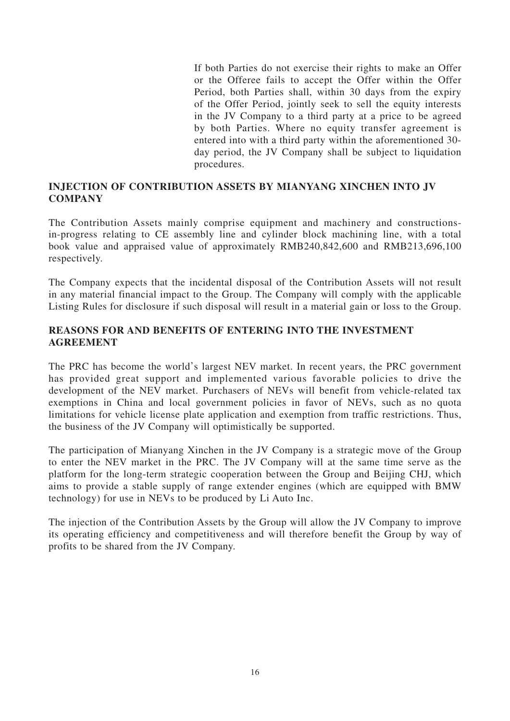If both Parties do not exercise their rights to make an Offer or the Offeree fails to accept the Offer within the Offer Period, both Parties shall, within 30 days from the expiry of the Offer Period, jointly seek to sell the equity interests in the JV Company to a third party at a price to be agreed by both Parties. Where no equity transfer agreement is entered into with a third party within the aforementioned 30 day period, the JV Company shall be subject to liquidation procedures.

#### **INJECTION OF CONTRIBUTION ASSETS BY MIANYANG XINCHEN INTO JV COMPANY**

The Contribution Assets mainly comprise equipment and machinery and constructionsin-progress relating to CE assembly line and cylinder block machining line, with a total book value and appraised value of approximately RMB240,842,600 and RMB213,696,100 respectively.

The Company expects that the incidental disposal of the Contribution Assets will not result in any material financial impact to the Group. The Company will comply with the applicable Listing Rules for disclosure if such disposal will result in a material gain or loss to the Group.

#### **REASONS FOR AND BENEFITS OF ENTERING INTO THE INVESTMENT AGREEMENT**

The PRC has become the world's largest NEV market. In recent years, the PRC government has provided great support and implemented various favorable policies to drive the development of the NEV market. Purchasers of NEVs will benefit from vehicle-related tax exemptions in China and local government policies in favor of NEVs, such as no quota limitations for vehicle license plate application and exemption from traffic restrictions. Thus, the business of the JV Company will optimistically be supported.

The participation of Mianyang Xinchen in the JV Company is a strategic move of the Group to enter the NEV market in the PRC. The JV Company will at the same time serve as the platform for the long-term strategic cooperation between the Group and Beijing CHJ, which aims to provide a stable supply of range extender engines (which are equipped with BMW technology) for use in NEVs to be produced by Li Auto Inc.

The injection of the Contribution Assets by the Group will allow the JV Company to improve its operating efficiency and competitiveness and will therefore benefit the Group by way of profits to be shared from the JV Company.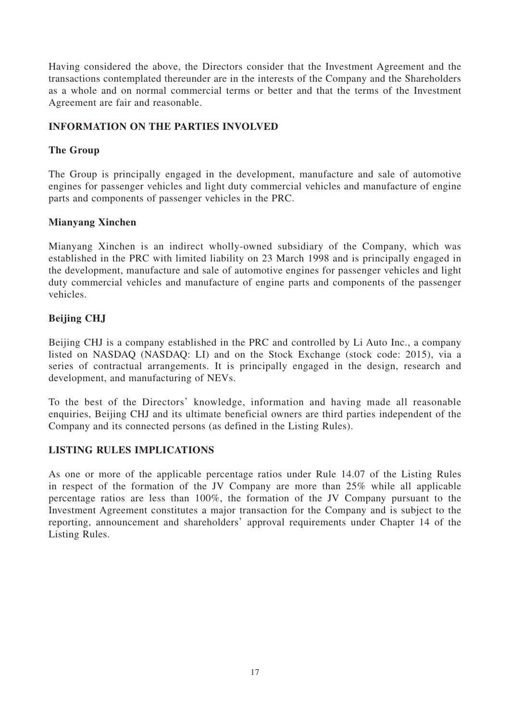Having considered the above, the Directors consider that the Investment Agreement and the transactions contemplated thereunder are in the interests of the Company and the Shareholders as a whole and on normal commercial terms or better and that the terms of the Investment Agreement are fair and reasonable.

#### **INFORMATION ON THE PARTIES INVOLVED**

### **The Group**

The Group is principally engaged in the development, manufacture and sale of automotive engines for passenger vehicles and light duty commercial vehicles and manufacture of engine parts and components of passenger vehicles in the PRC.

### **Mianyang Xinchen**

Mianyang Xinchen is an indirect wholly-owned subsidiary of the Company, which was established in the PRC with limited liability on 23 March 1998 and is principally engaged in the development, manufacture and sale of automotive engines for passenger vehicles and light duty commercial vehicles and manufacture of engine parts and components of the passenger vehicles.

# **Beijing CHJ**

Beijing CHJ is a company established in the PRC and controlled by Li Auto Inc., a company listed on NASDAQ (NASDAQ: LI) and on the Stock Exchange (stock code: 2015), via a series of contractual arrangements. It is principally engaged in the design, research and development, and manufacturing of NEVs.

To the best of the Directors' knowledge, information and having made all reasonable enquiries, Beijing CHJ and its ultimate beneficial owners are third parties independent of the Company and its connected persons (as defined in the Listing Rules).

# **LISTING RULES IMPLICATIONS**

As one or more of the applicable percentage ratios under Rule 14.07 of the Listing Rules in respect of the formation of the JV Company are more than 25% while all applicable percentage ratios are less than 100%, the formation of the JV Company pursuant to the Investment Agreement constitutes a major transaction for the Company and is subject to the reporting, announcement and shareholders' approval requirements under Chapter 14 of the Listing Rules.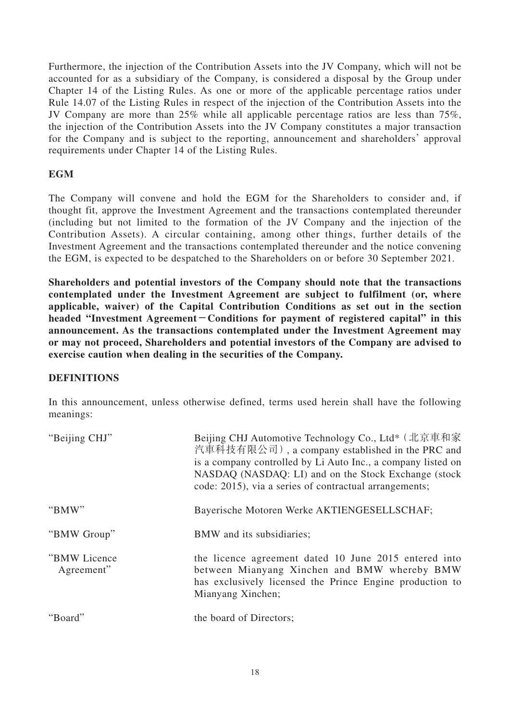Furthermore, the injection of the Contribution Assets into the JV Company, which will not be accounted for as a subsidiary of the Company, is considered a disposal by the Group under Chapter 14 of the Listing Rules. As one or more of the applicable percentage ratios under Rule 14.07 of the Listing Rules in respect of the injection of the Contribution Assets into the JV Company are more than 25% while all applicable percentage ratios are less than 75%, the injection of the Contribution Assets into the JV Company constitutes a major transaction for the Company and is subject to the reporting, announcement and shareholders' approval requirements under Chapter 14 of the Listing Rules.

#### **EGM**

The Company will convene and hold the EGM for the Shareholders to consider and, if thought fit, approve the Investment Agreement and the transactions contemplated thereunder (including but not limited to the formation of the JV Company and the injection of the Contribution Assets). A circular containing, among other things, further details of the Investment Agreement and the transactions contemplated thereunder and the notice convening the EGM, is expected to be despatched to the Shareholders on or before 30 September 2021.

**Shareholders and potential investors of the Company should note that the transactions contemplated under the Investment Agreement are subject to fulfilment (or, where applicable, waiver) of the Capital Contribution Conditions as set out in the section headed "Investment Agreement-Conditions for payment of registered capital" in this announcement. As the transactions contemplated under the Investment Agreement may or may not proceed, Shareholders and potential investors of the Company are advised to exercise caution when dealing in the securities of the Company.**

#### **DEFINITIONS**

In this announcement, unless otherwise defined, terms used herein shall have the following meanings:

| "Beijing CHJ"               | Beijing CHJ Automotive Technology Co., Ltd* (北京車和家<br>汽車科技有限公司), a company established in the PRC and<br>is a company controlled by Li Auto Inc., a company listed on<br>NASDAQ (NASDAQ: LI) and on the Stock Exchange (stock<br>code: 2015), via a series of contractual arrangements; |
|-----------------------------|-----------------------------------------------------------------------------------------------------------------------------------------------------------------------------------------------------------------------------------------------------------------------------------------|
| "BMW"                       | Bayerische Motoren Werke AKTIENGESELLSCHAF;                                                                                                                                                                                                                                             |
| "BMW Group"                 | BMW and its subsidiaries;                                                                                                                                                                                                                                                               |
| "BMW Licence"<br>Agreement" | the licence agreement dated 10 June 2015 entered into<br>between Mianyang Xinchen and BMW whereby BMW<br>has exclusively licensed the Prince Engine production to<br>Mianyang Xinchen;                                                                                                  |
| "Board"                     | the board of Directors;                                                                                                                                                                                                                                                                 |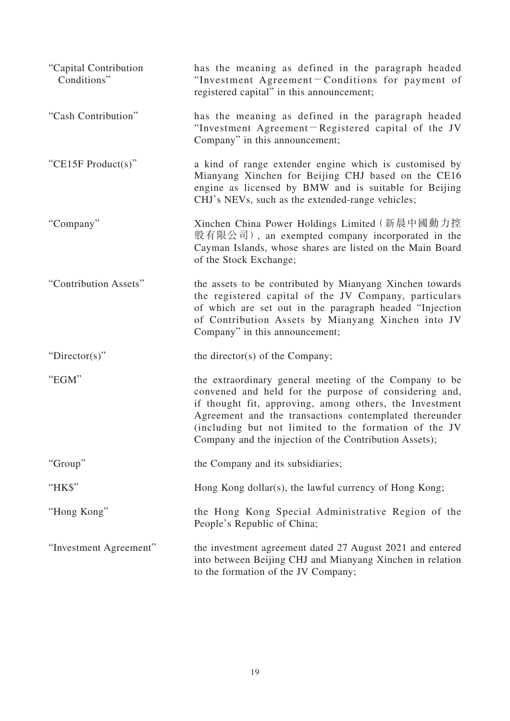| "Capital Contribution<br>Conditions" | has the meaning as defined in the paragraph headed<br>"Investment Agreement-Conditions for payment of<br>registered capital" in this announcement;                                                                                                                                                                                                      |
|--------------------------------------|---------------------------------------------------------------------------------------------------------------------------------------------------------------------------------------------------------------------------------------------------------------------------------------------------------------------------------------------------------|
| "Cash Contribution"                  | has the meaning as defined in the paragraph headed<br>"Investment Agreement-Registered capital of the JV<br>Company" in this announcement;                                                                                                                                                                                                              |
| "CE15F Product(s)"                   | a kind of range extender engine which is customised by<br>Mianyang Xinchen for Beijing CHJ based on the CE16<br>engine as licensed by BMW and is suitable for Beijing<br>CHJ's NEVs, such as the extended-range vehicles;                                                                                                                               |
| "Company"                            | Xinchen China Power Holdings Limited (新晨中國動力控<br>股有限公司), an exempted company incorporated in the<br>Cayman Islands, whose shares are listed on the Main Board<br>of the Stock Exchange;                                                                                                                                                                 |
| "Contribution Assets"                | the assets to be contributed by Mianyang Xinchen towards<br>the registered capital of the JV Company, particulars<br>of which are set out in the paragraph headed "Injection<br>of Contribution Assets by Mianyang Xinchen into JV<br>Company" in this announcement;                                                                                    |
| " $Directory$ "                      | the director(s) of the Company;                                                                                                                                                                                                                                                                                                                         |
| "EGM"                                | the extraordinary general meeting of the Company to be<br>convened and held for the purpose of considering and,<br>if thought fit, approving, among others, the Investment<br>Agreement and the transactions contemplated thereunder<br>(including but not limited to the formation of the JV<br>Company and the injection of the Contribution Assets); |
| "Group"                              | the Company and its subsidiaries;                                                                                                                                                                                                                                                                                                                       |
| "HK\$"                               | Hong Kong dollar(s), the lawful currency of Hong Kong;                                                                                                                                                                                                                                                                                                  |
| "Hong Kong"                          | the Hong Kong Special Administrative Region of the<br>People's Republic of China;                                                                                                                                                                                                                                                                       |
| "Investment Agreement"               | the investment agreement dated 27 August 2021 and entered<br>into between Beijing CHJ and Mianyang Xinchen in relation<br>to the formation of the JV Company;                                                                                                                                                                                           |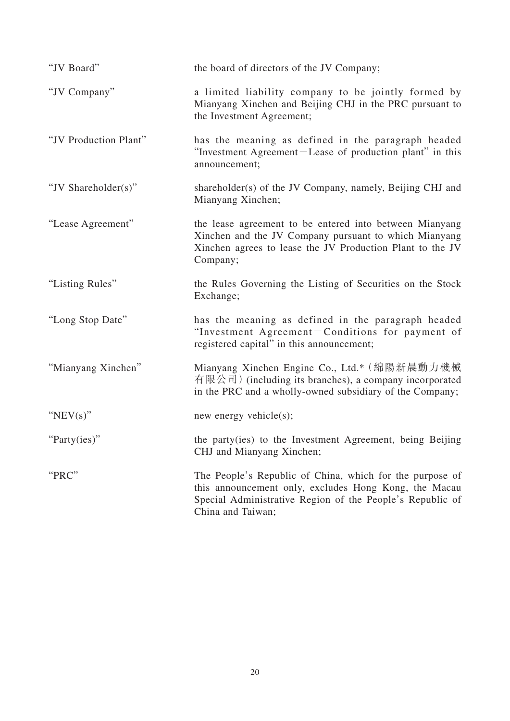| "JV Board"            | the board of directors of the JV Company;                                                                                                                                                           |
|-----------------------|-----------------------------------------------------------------------------------------------------------------------------------------------------------------------------------------------------|
| "JV Company"          | a limited liability company to be jointly formed by<br>Mianyang Xinchen and Beijing CHJ in the PRC pursuant to<br>the Investment Agreement;                                                         |
| "JV Production Plant" | has the meaning as defined in the paragraph headed<br>"Investment Agreement-Lease of production plant" in this<br>announcement;                                                                     |
| "JV Shareholder(s)"   | shareholder(s) of the JV Company, namely, Beijing CHJ and<br>Mianyang Xinchen;                                                                                                                      |
| "Lease Agreement"     | the lease agreement to be entered into between Mianyang<br>Xinchen and the JV Company pursuant to which Mianyang<br>Xinchen agrees to lease the JV Production Plant to the JV<br>Company;           |
| "Listing Rules"       | the Rules Governing the Listing of Securities on the Stock<br>Exchange;                                                                                                                             |
| "Long Stop Date"      | has the meaning as defined in the paragraph headed<br>"Investment Agreement-Conditions for payment of<br>registered capital" in this announcement;                                                  |
| "Mianyang Xinchen"    | Mianyang Xinchen Engine Co., Ltd.* (綿陽新晨動力機械<br>有限公司) (including its branches), a company incorporated<br>in the PRC and a wholly-owned subsidiary of the Company;                                  |
| " $NEV(s)$ "          | new energy vehicle $(s)$ ;                                                                                                                                                                          |
| "Party(ies)"          | the party(ies) to the Investment Agreement, being Beijing<br>CHJ and Mianyang Xinchen;                                                                                                              |
| "PRC"                 | The People's Republic of China, which for the purpose of<br>this announcement only, excludes Hong Kong, the Macau<br>Special Administrative Region of the People's Republic of<br>China and Taiwan; |